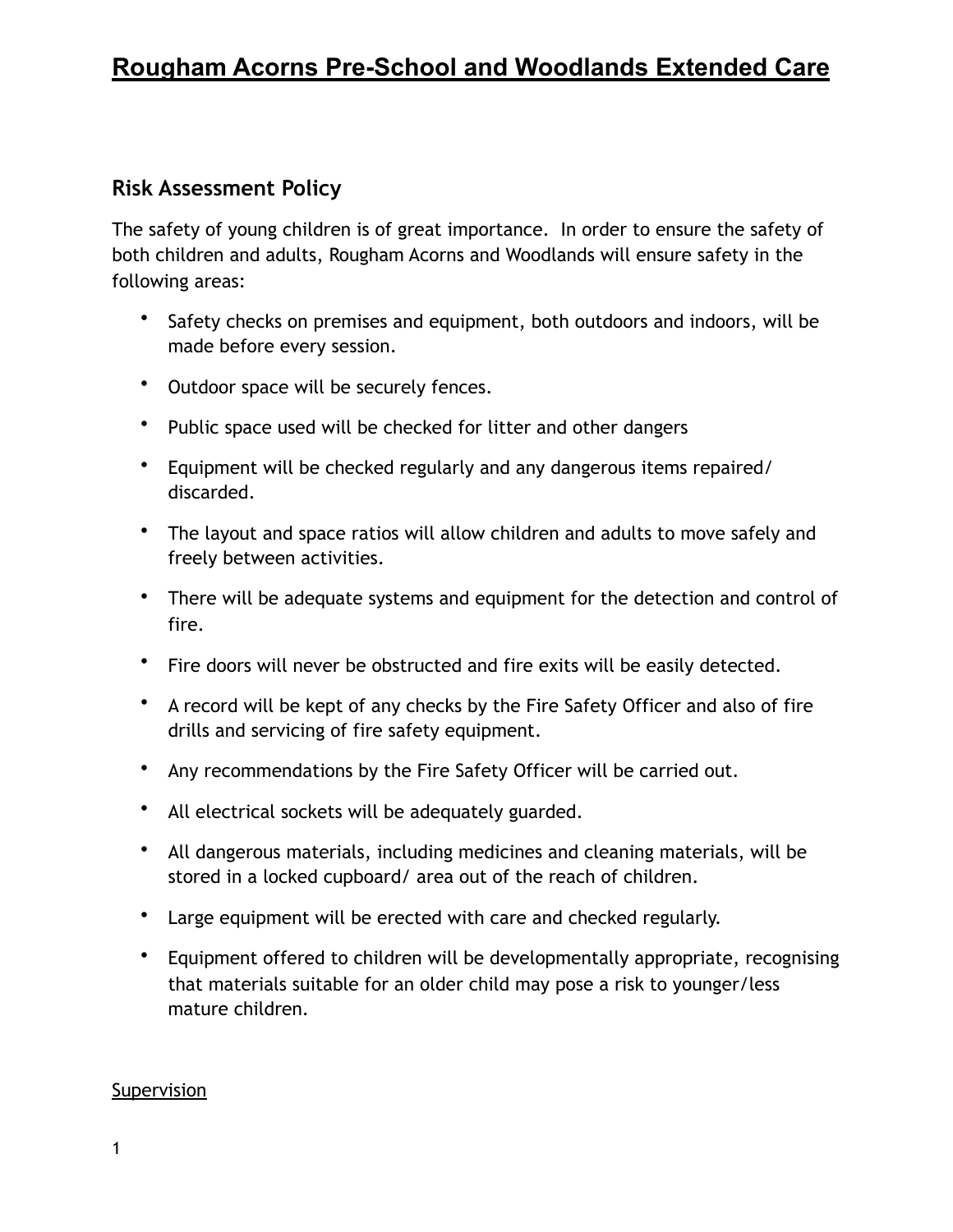# **Rougham Acorns Pre-School and Woodlands Extended Care**

## **Risk Assessment Policy**

The safety of young children is of great importance. In order to ensure the safety of both children and adults, Rougham Acorns and Woodlands will ensure safety in the following areas:

- Safety checks on premises and equipment, both outdoors and indoors, will be made before every session.
- Outdoor space will be securely fences.
- Public space used will be checked for litter and other dangers
- Equipment will be checked regularly and any dangerous items repaired/ discarded.
- The layout and space ratios will allow children and adults to move safely and freely between activities.
- There will be adequate systems and equipment for the detection and control of fire.
- Fire doors will never be obstructed and fire exits will be easily detected.
- A record will be kept of any checks by the Fire Safety Officer and also of fire drills and servicing of fire safety equipment.
- Any recommendations by the Fire Safety Officer will be carried out.
- All electrical sockets will be adequately guarded.
- All dangerous materials, including medicines and cleaning materials, will be stored in a locked cupboard/ area out of the reach of children.
- Large equipment will be erected with care and checked regularly.
- Equipment offered to children will be developmentally appropriate, recognising that materials suitable for an older child may pose a risk to younger/less mature children.

#### Supervision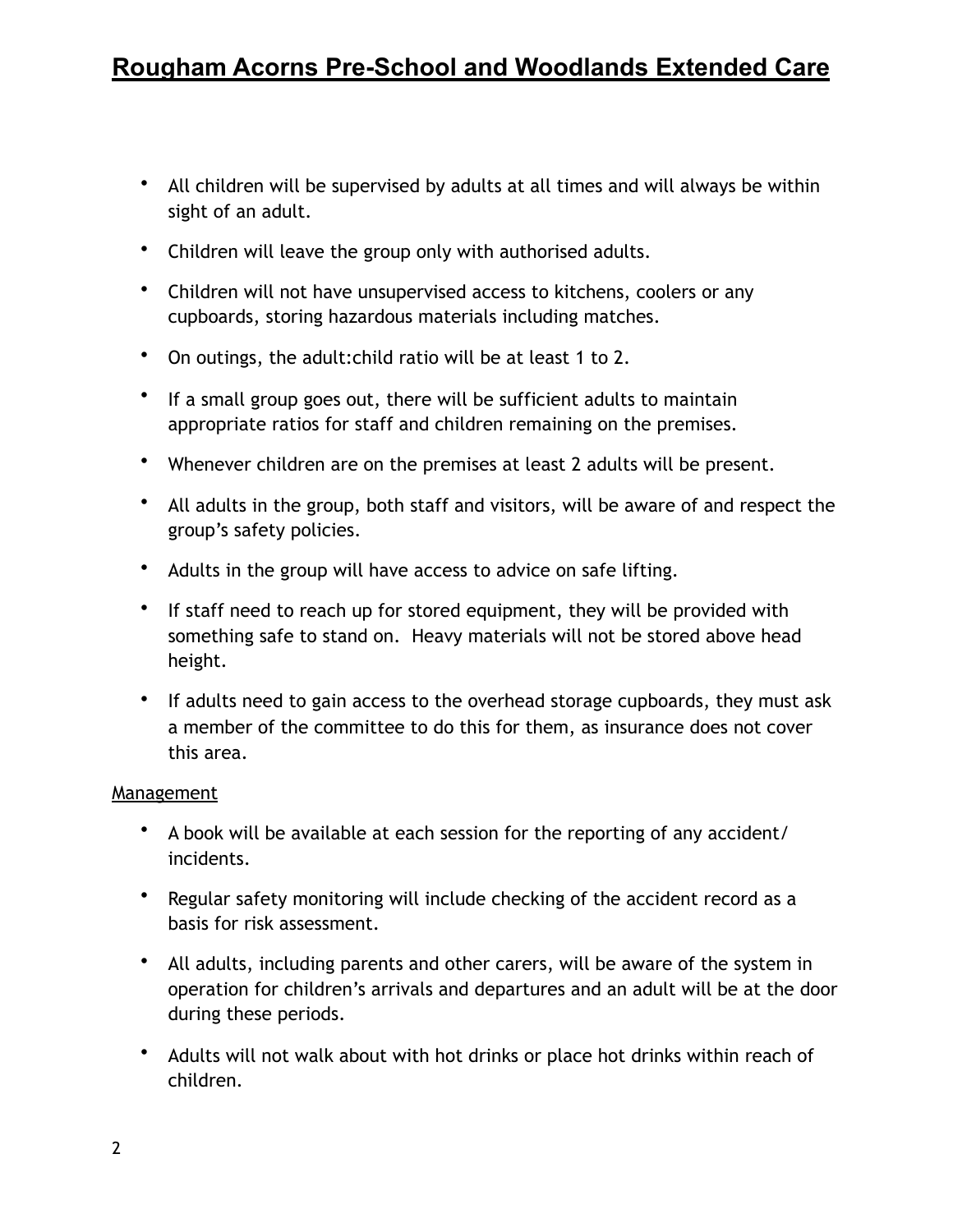- All children will be supervised by adults at all times and will always be within sight of an adult.
- Children will leave the group only with authorised adults.
- Children will not have unsupervised access to kitchens, coolers or any cupboards, storing hazardous materials including matches.
- On outings, the adult:child ratio will be at least 1 to 2.
- If a small group goes out, there will be sufficient adults to maintain appropriate ratios for staff and children remaining on the premises.
- Whenever children are on the premises at least 2 adults will be present.
- All adults in the group, both staff and visitors, will be aware of and respect the group's safety policies.
- Adults in the group will have access to advice on safe lifting.
- If staff need to reach up for stored equipment, they will be provided with something safe to stand on. Heavy materials will not be stored above head height.
- If adults need to gain access to the overhead storage cupboards, they must ask a member of the committee to do this for them, as insurance does not cover this area.

#### **Management**

- A book will be available at each session for the reporting of any accident/ incidents.
- Regular safety monitoring will include checking of the accident record as a basis for risk assessment.
- All adults, including parents and other carers, will be aware of the system in operation for children's arrivals and departures and an adult will be at the door during these periods.
- Adults will not walk about with hot drinks or place hot drinks within reach of children.